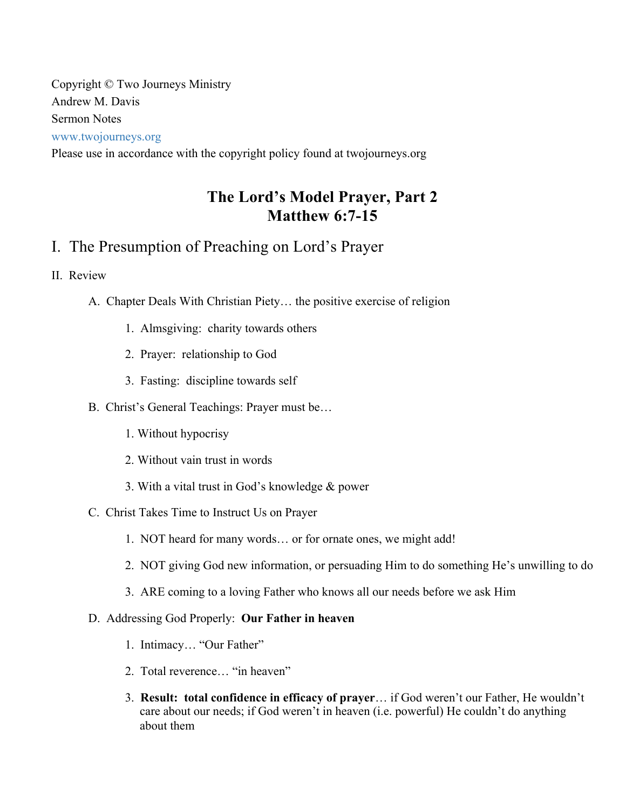Copyright © Two Journeys Ministry Andrew M. Davis Sermon Notes www.twojourneys.org

Please use in accordance with the copyright policy found at twojourneys.org

# **The Lord's Model Prayer, Part 2 Matthew 6:7-15**

# I. The Presumption of Preaching on Lord's Prayer

### II. Review

- A. Chapter Deals With Christian Piety… the positive exercise of religion
	- 1. Almsgiving: charity towards others
	- 2. Prayer: relationship to God
	- 3. Fasting: discipline towards self

#### B. Christ's General Teachings: Prayer must be…

- 1. Without hypocrisy
- 2. Without vain trust in words
- 3. With a vital trust in God's knowledge & power
- C. Christ Takes Time to Instruct Us on Prayer
	- 1. NOT heard for many words… or for ornate ones, we might add!
	- 2. NOT giving God new information, or persuading Him to do something He's unwilling to do
	- 3. ARE coming to a loving Father who knows all our needs before we ask Him

#### D. Addressing God Properly: **Our Father in heaven**

- 1. Intimacy… "Our Father"
- 2. Total reverence… "in heaven"
- 3. **Result: total confidence in efficacy of prayer**… if God weren't our Father, He wouldn't care about our needs; if God weren't in heaven (i.e. powerful) He couldn't do anything about them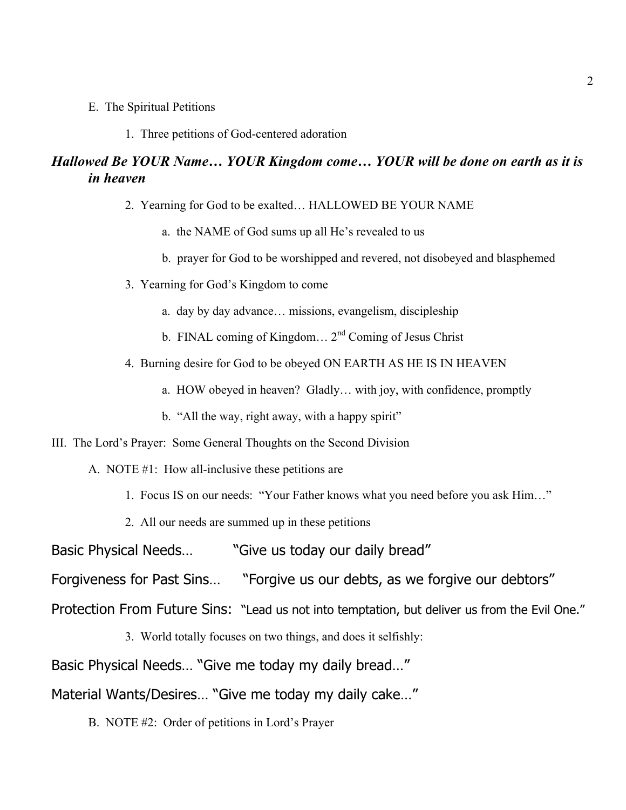- E. The Spiritual Petitions
	- 1. Three petitions of God-centered adoration

### *Hallowed Be YOUR Name… YOUR Kingdom come… YOUR will be done on earth as it is in heaven*

- 2. Yearning for God to be exalted… HALLOWED BE YOUR NAME
	- a. the NAME of God sums up all He's revealed to us
	- b. prayer for God to be worshipped and revered, not disobeyed and blasphemed
- 3. Yearning for God's Kingdom to come
	- a. day by day advance… missions, evangelism, discipleship
	- b. FINAL coming of Kingdom...  $2<sup>nd</sup>$  Coming of Jesus Christ
- 4. Burning desire for God to be obeyed ON EARTH AS HE IS IN HEAVEN
	- a. HOW obeyed in heaven? Gladly… with joy, with confidence, promptly
	- b. "All the way, right away, with a happy spirit"
- III. The Lord's Prayer: Some General Thoughts on the Second Division
	- A. NOTE #1: How all-inclusive these petitions are
		- 1. Focus IS on our needs: "Your Father knows what you need before you ask Him…"
		- 2. All our needs are summed up in these petitions
- Basic Physical Needs… "Give us today our daily bread"
- Forgiveness for Past Sins… "Forgive us our debts, as we forgive our debtors"
- Protection From Future Sins: "Lead us not into temptation, but deliver us from the Evil One."
	- 3. World totally focuses on two things, and does it selfishly:
- Basic Physical Needs… "Give me today my daily bread…"

Material Wants/Desires… "Give me today my daily cake…"

B. NOTE #2: Order of petitions in Lord's Prayer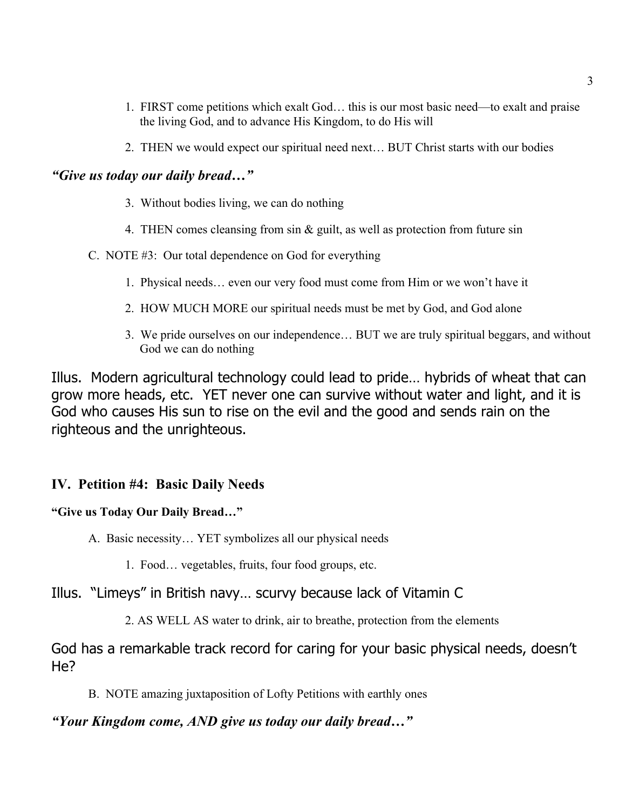- 1. FIRST come petitions which exalt God… this is our most basic need—to exalt and praise the living God, and to advance His Kingdom, to do His will
- 2. THEN we would expect our spiritual need next… BUT Christ starts with our bodies

#### *"Give us today our daily bread…"*

- 3. Without bodies living, we can do nothing
- 4. THEN comes cleansing from sin & guilt, as well as protection from future sin
- C. NOTE #3: Our total dependence on God for everything
	- 1. Physical needs… even our very food must come from Him or we won't have it
	- 2. HOW MUCH MORE our spiritual needs must be met by God, and God alone
	- 3. We pride ourselves on our independence… BUT we are truly spiritual beggars, and without God we can do nothing

Illus. Modern agricultural technology could lead to pride… hybrids of wheat that can grow more heads, etc. YET never one can survive without water and light, and it is God who causes His sun to rise on the evil and the good and sends rain on the righteous and the unrighteous.

### **IV. Petition #4: Basic Daily Needs**

### **"Give us Today Our Daily Bread…"**

A. Basic necessity… YET symbolizes all our physical needs

1. Food… vegetables, fruits, four food groups, etc.

### Illus. "Limeys" in British navy… scurvy because lack of Vitamin C

2. AS WELL AS water to drink, air to breathe, protection from the elements

God has a remarkable track record for caring for your basic physical needs, doesn't He?

B. NOTE amazing juxtaposition of Lofty Petitions with earthly ones

### *"Your Kingdom come, AND give us today our daily bread…"*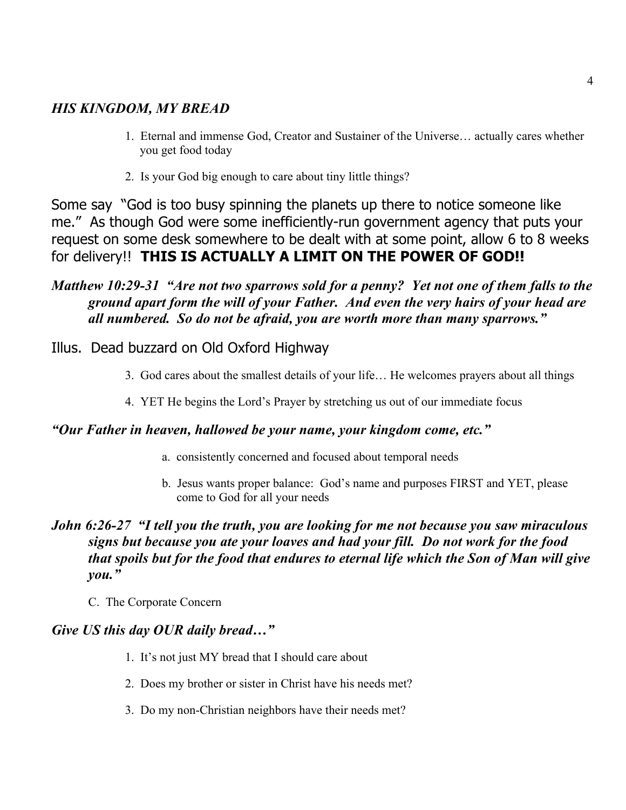# *HIS KINGDOM, MY BREAD*

- 1. Eternal and immense God, Creator and Sustainer of the Universe… actually cares whether you get food today
- 2. Is your God big enough to care about tiny little things?

Some say "God is too busy spinning the planets up there to notice someone like me." As though God were some inefficiently-run government agency that puts your request on some desk somewhere to be dealt with at some point, allow 6 to 8 weeks for delivery!! **THIS IS ACTUALLY A LIMIT ON THE POWER OF GOD!!**

# *Matthew 10:29-31 "Are not two sparrows sold for a penny? Yet not one of them falls to the ground apart form the will of your Father. And even the very hairs of your head are all numbered. So do not be afraid, you are worth more than many sparrows."*

# Illus. Dead buzzard on Old Oxford Highway

- 3. God cares about the smallest details of your life… He welcomes prayers about all things
- 4. YET He begins the Lord's Prayer by stretching us out of our immediate focus

### *"Our Father in heaven, hallowed be your name, your kingdom come, etc."*

- a. consistently concerned and focused about temporal needs
- b. Jesus wants proper balance: God's name and purposes FIRST and YET, please come to God for all your needs

# *John 6:26-27 "I tell you the truth, you are looking for me not because you saw miraculous signs but because you ate your loaves and had your fill. Do not work for the food that spoils but for the food that endures to eternal life which the Son of Man will give you."*

C. The Corporate Concern

### *Give US this day OUR daily bread…"*

- 1. It's not just MY bread that I should care about
- 2. Does my brother or sister in Christ have his needs met?
- 3. Do my non-Christian neighbors have their needs met?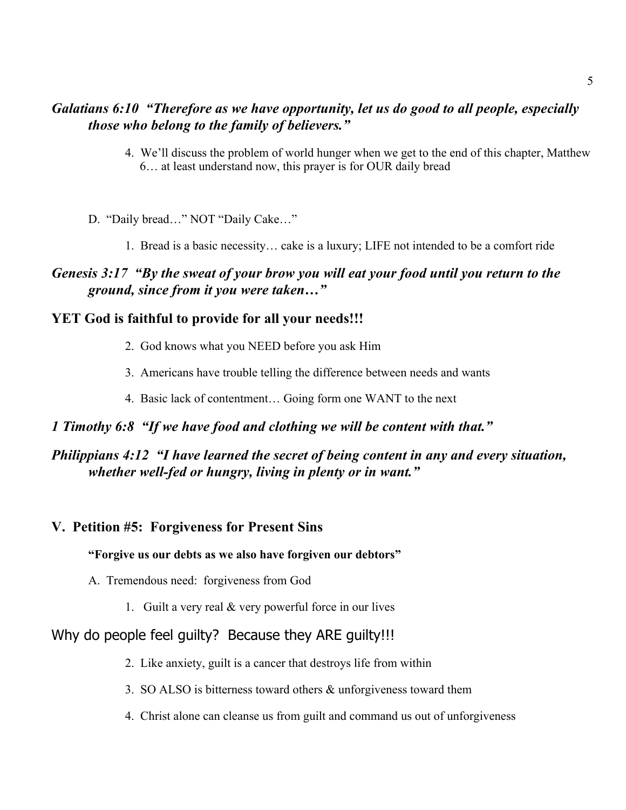### *Galatians 6:10 "Therefore as we have opportunity, let us do good to all people, especially those who belong to the family of believers."*

- 4. We'll discuss the problem of world hunger when we get to the end of this chapter, Matthew 6… at least understand now, this prayer is for OUR daily bread
- D. "Daily bread…" NOT "Daily Cake…"
	- 1. Bread is a basic necessity… cake is a luxury; LIFE not intended to be a comfort ride

### *Genesis 3:17 "By the sweat of your brow you will eat your food until you return to the ground, since from it you were taken…"*

### **YET God is faithful to provide for all your needs!!!**

- 2. God knows what you NEED before you ask Him
- 3. Americans have trouble telling the difference between needs and wants
- 4. Basic lack of contentment… Going form one WANT to the next

### *1 Timothy 6:8 "If we have food and clothing we will be content with that."*

### *Philippians 4:12 "I have learned the secret of being content in any and every situation, whether well-fed or hungry, living in plenty or in want."*

### **V. Petition #5: Forgiveness for Present Sins**

#### **"Forgive us our debts as we also have forgiven our debtors"**

- A. Tremendous need: forgiveness from God
	- 1. Guilt a very real & very powerful force in our lives

### Why do people feel quilty? Because they ARE quilty!!!

- 2. Like anxiety, guilt is a cancer that destroys life from within
- 3. SO ALSO is bitterness toward others & unforgiveness toward them
- 4. Christ alone can cleanse us from guilt and command us out of unforgiveness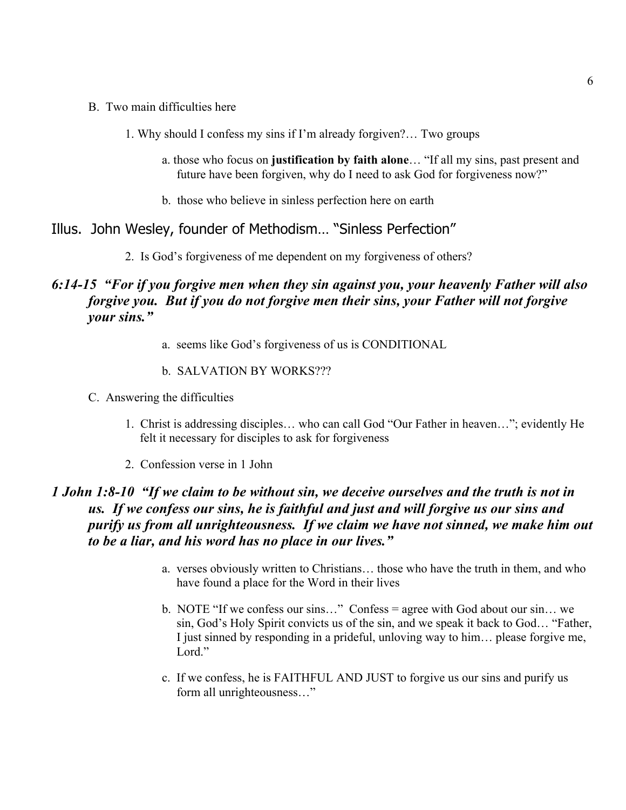- B. Two main difficulties here
	- 1. Why should I confess my sins if I'm already forgiven?… Two groups
		- a. those who focus on **justification by faith alone**… "If all my sins, past present and future have been forgiven, why do I need to ask God for forgiveness now?"
		- b. those who believe in sinless perfection here on earth

### Illus. John Wesley, founder of Methodism… "Sinless Perfection"

2. Is God's forgiveness of me dependent on my forgiveness of others?

# *6:14-15 "For if you forgive men when they sin against you, your heavenly Father will also forgive you. But if you do not forgive men their sins, your Father will not forgive your sins."*

- a. seems like God's forgiveness of us is CONDITIONAL
- b. SALVATION BY WORKS???
- C. Answering the difficulties
	- 1. Christ is addressing disciples… who can call God "Our Father in heaven…"; evidently He felt it necessary for disciples to ask for forgiveness
	- 2. Confession verse in 1 John

## *1 John 1:8-10 "If we claim to be without sin, we deceive ourselves and the truth is not in us. If we confess our sins, he is faithful and just and will forgive us our sins and purify us from all unrighteousness. If we claim we have not sinned, we make him out to be a liar, and his word has no place in our lives."*

- a. verses obviously written to Christians… those who have the truth in them, and who have found a place for the Word in their lives
- b. NOTE "If we confess our sins…" Confess = agree with God about our sin… we sin, God's Holy Spirit convicts us of the sin, and we speak it back to God… "Father, I just sinned by responding in a prideful, unloving way to him… please forgive me, Lord."
- c. If we confess, he is FAITHFUL AND JUST to forgive us our sins and purify us form all unrighteousness…"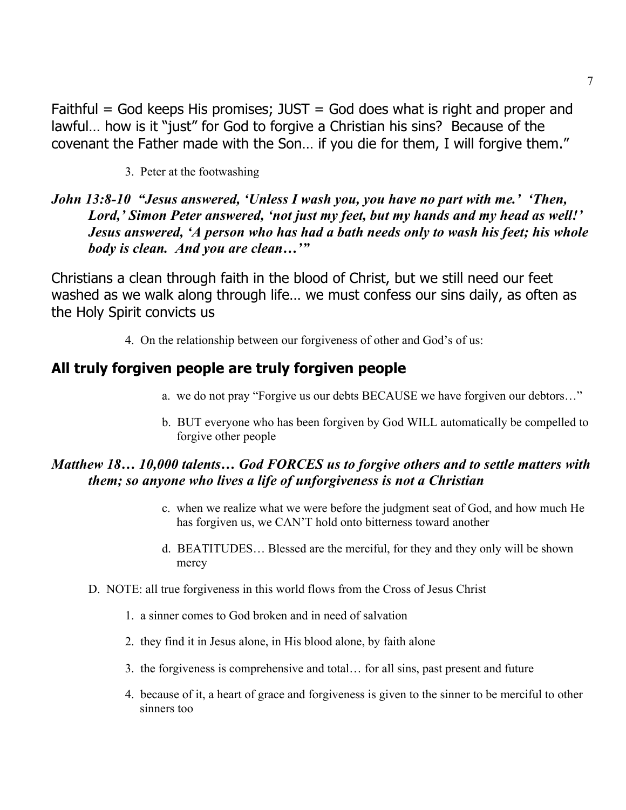Faithful  $=$  God keeps His promises; JUST  $=$  God does what is right and proper and lawful… how is it "just" for God to forgive a Christian his sins? Because of the covenant the Father made with the Son… if you die for them, I will forgive them."

3. Peter at the footwashing

# *John 13:8-10 "Jesus answered, 'Unless I wash you, you have no part with me.' 'Then, Lord,' Simon Peter answered, 'not just my feet, but my hands and my head as well!' Jesus answered, 'A person who has had a bath needs only to wash his feet; his whole body is clean. And you are clean…'"*

Christians a clean through faith in the blood of Christ, but we still need our feet washed as we walk along through life… we must confess our sins daily, as often as the Holy Spirit convicts us

4. On the relationship between our forgiveness of other and God's of us:

# **All truly forgiven people are truly forgiven people**

- a. we do not pray "Forgive us our debts BECAUSE we have forgiven our debtors…"
- b. BUT everyone who has been forgiven by God WILL automatically be compelled to forgive other people

# *Matthew 18… 10,000 talents… God FORCES us to forgive others and to settle matters with them; so anyone who lives a life of unforgiveness is not a Christian*

- c. when we realize what we were before the judgment seat of God, and how much He has forgiven us, we CAN'T hold onto bitterness toward another
- d. BEATITUDES… Blessed are the merciful, for they and they only will be shown mercy
- D. NOTE: all true forgiveness in this world flows from the Cross of Jesus Christ
	- 1. a sinner comes to God broken and in need of salvation
	- 2. they find it in Jesus alone, in His blood alone, by faith alone
	- 3. the forgiveness is comprehensive and total… for all sins, past present and future
	- 4. because of it, a heart of grace and forgiveness is given to the sinner to be merciful to other sinners too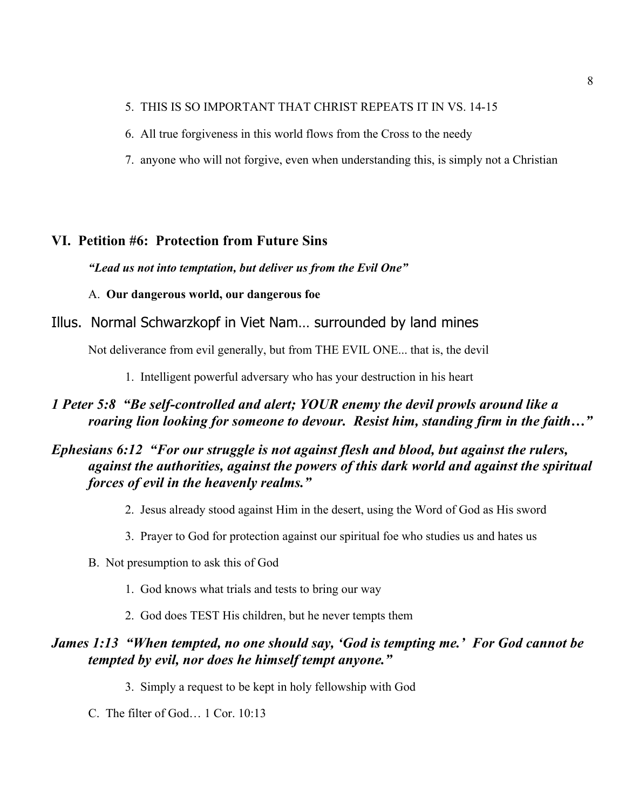#### 5. THIS IS SO IMPORTANT THAT CHRIST REPEATS IT IN VS. 14-15

- 6. All true forgiveness in this world flows from the Cross to the needy
- 7. anyone who will not forgive, even when understanding this, is simply not a Christian

### **VI. Petition #6: Protection from Future Sins**

#### *"Lead us not into temptation, but deliver us from the Evil One"*

A. **Our dangerous world, our dangerous foe**

#### Illus. Normal Schwarzkopf in Viet Nam… surrounded by land mines

Not deliverance from evil generally, but from THE EVIL ONE... that is, the devil

1. Intelligent powerful adversary who has your destruction in his heart

### *1 Peter 5:8 "Be self-controlled and alert; YOUR enemy the devil prowls around like a roaring lion looking for someone to devour. Resist him, standing firm in the faith…"*

# *Ephesians 6:12 "For our struggle is not against flesh and blood, but against the rulers, against the authorities, against the powers of this dark world and against the spiritual forces of evil in the heavenly realms."*

- 2. Jesus already stood against Him in the desert, using the Word of God as His sword
- 3. Prayer to God for protection against our spiritual foe who studies us and hates us
- B. Not presumption to ask this of God
	- 1. God knows what trials and tests to bring our way
	- 2. God does TEST His children, but he never tempts them

### *James 1:13 "When tempted, no one should say, 'God is tempting me.' For God cannot be tempted by evil, nor does he himself tempt anyone."*

- 3. Simply a request to be kept in holy fellowship with God
- C. The filter of God… 1 Cor. 10:13